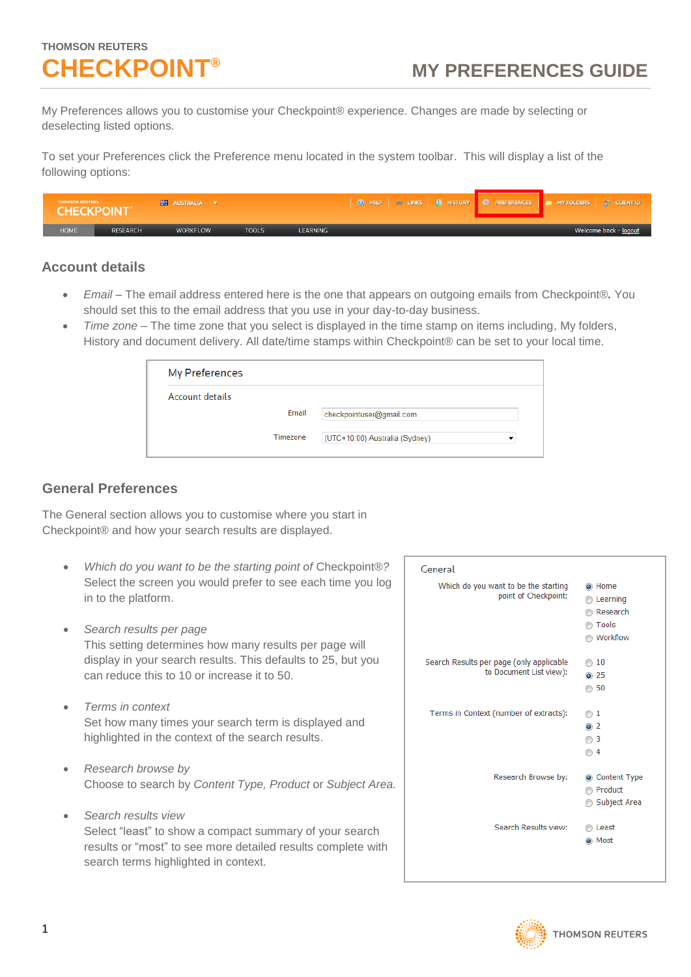# **THOMSON REUTERS**

My Preferences allows you to customise your Checkpoint® experience. Changes are made by selecting or deselecting listed options.

To set your Preferences click the Preference menu located in the system toolbar. This will display a list of the following options:

| <b>THOMSON REUTERS</b><br><b>CHECKPOINT</b> * |                 | <b>EXPLANATION AUSTRALIA</b> |              |                 | <b>③</b> HELP ◎ LINKS ● HISTORY $\frac{15}{27}$ PREFERENCES <b>PH</b> MY FOLDERS A <sup>3</sup> CLIENT ID |                       |
|-----------------------------------------------|-----------------|------------------------------|--------------|-----------------|-----------------------------------------------------------------------------------------------------------|-----------------------|
| <b>HOME</b>                                   | <b>RESEARCH</b> | <b>WORKFLOW</b>              | <b>TOOLS</b> | <b>LEARNING</b> |                                                                                                           | Welcome back - logout |

#### **Account details**

- *Email –* The email address entered here is the one that appears on outgoing emails from Checkpoint®*.* You should set this to the email address that you use in your day-to-day business.
- *Time zone* The time zone that you select is displayed in the time stamp on items including, My folders, History and document delivery. All date/time stamps within Checkpoint® can be set to your local time.

| My Preferences  |          |                                |   |
|-----------------|----------|--------------------------------|---|
| Account details |          |                                |   |
|                 | Email    | checkpointuser@gmail.com       |   |
|                 | Timezone | (UTC+10:00) Australia (Sydney) | ▼ |

#### **General Preferences**

The General section allows you to customise where you start in Checkpoint® and how your search results are displayed.

- *Which do you want to be the starting point of* Checkpoint®*?* Select the screen you would prefer to see each time you log in to the platform.
- *Search results per page* This setting determines how many results per page will display in your search results. This defaults to 25, but you can reduce this to 10 or increase it to 50.
- *Terms in context* Set how many times your search term is displayed and highlighted in the context of the search results.
- *Research browse by* Choose to search by *Content Type, Product* or *Subject Area.*
- *Search results view* Select "least" to show a compact summary of your search results or "most" to see more detailed results complete with search terms highlighted in context.

| General                                                             |                                                              |
|---------------------------------------------------------------------|--------------------------------------------------------------|
| Which do you want to be the starting<br>point of Checkpoint:        | a Home<br>Learning<br>Research<br>◯ Tools<br><b>Workflow</b> |
| Search Results per page (only applicable<br>to Document List view): | 10<br>$\odot$ 25<br>50                                       |
| Terms in Context (number of extracts):                              | $\circledcirc$ 1<br>$\odot$ 2<br>◯ 3<br>⋒ 4                  |
| Research Browse by:                                                 | Content Type<br>Product<br>⋒<br>Subject Area<br>⋒            |
| Search Results view:                                                | Least<br>@ Most                                              |